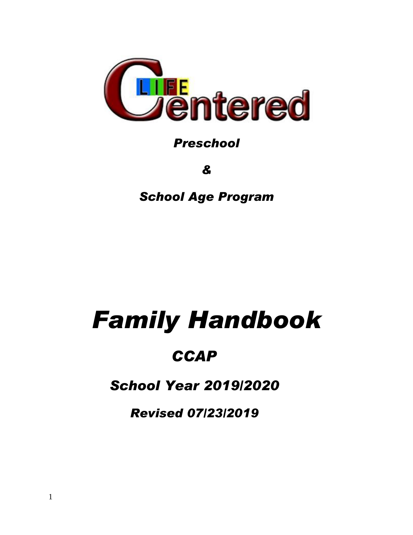

# *Preschool*

*&*

*School Age Program*

# *Family Handbook*

# *CCAP*

*School Year 2019/2020*

*Revised 07/23/2019*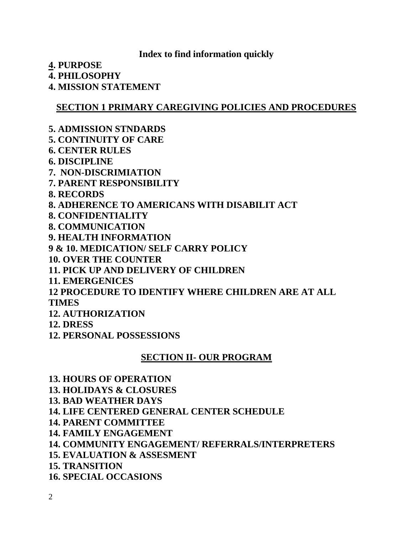# **Index to find information quickly**

- **4. PURPOSE**
- **4. PHILOSOPHY**

**4. MISSION STATEMENT**

# **SECTION 1 PRIMARY CAREGIVING POLICIES AND PROCEDURES**

**5. ADMISSION STNDARDS 5. CONTINUITY OF CARE 6. CENTER RULES 6. DISCIPLINE 7. NON-DISCRIMIATION 7. PARENT RESPONSIBILITY 8. RECORDS 8. ADHERENCE TO AMERICANS WITH DISABILIT ACT 8. CONFIDENTIALITY 8. COMMUNICATION 9. HEALTH INFORMATION 9 & 10. MEDICATION/ SELF CARRY POLICY 10. OVER THE COUNTER 11. PICK UP AND DELIVERY OF CHILDREN 11. EMERGENICES 12 PROCEDURE TO IDENTIFY WHERE CHILDREN ARE AT ALL TIMES 12. AUTHORIZATION 12. DRESS 12. PERSONAL POSSESSIONS**

# **SECTION II- OUR PROGRAM**

**13. HOURS OF OPERATION 13. HOLIDAYS & CLOSURES 13. BAD WEATHER DAYS 14. LIFE CENTERED GENERAL CENTER SCHEDULE 14. PARENT COMMITTEE 14. FAMILY ENGAGEMENT 14. COMMUNITY ENGAGEMENT/ REFERRALS/INTERPRETERS 15. EVALUATION & ASSESMENT 15. TRANSITION 16. SPECIAL OCCASIONS**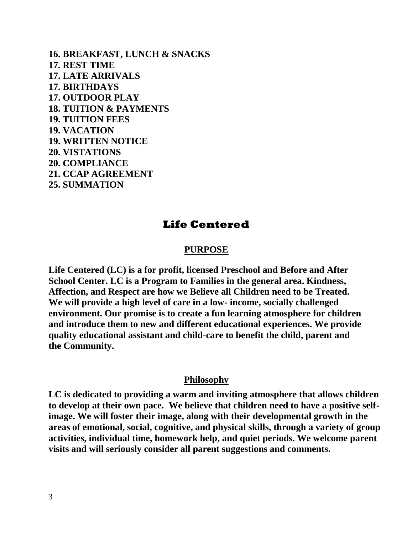**16. BREAKFAST, LUNCH & SNACKS 17. REST TIME 17. LATE ARRIVALS 17. BIRTHDAYS 17. OUTDOOR PLAY 18. TUITION & PAYMENTS 19. TUITION FEES 19. VACATION 19. WRITTEN NOTICE 20. VISTATIONS 20. COMPLIANCE 21. CCAP AGREEMENT 25. SUMMATION**

# **Life Centered**

#### **PURPOSE**

**Life Centered (LC) is a for profit, licensed Preschool and Before and After School Center. LC is a Program to Families in the general area. Kindness, Affection, and Respect are how we Believe all Children need to be Treated. We will provide a high level of care in a low- income, socially challenged environment. Our promise is to create a fun learning atmosphere for children and introduce them to new and different educational experiences. We provide quality educational assistant and child-care to benefit the child, parent and the Community.**

#### **Philosophy**

**LC is dedicated to providing a warm and inviting atmosphere that allows children to develop at their own pace. We believe that children need to have a positive selfimage. We will foster their image, along with their developmental growth in the areas of emotional, social, cognitive, and physical skills, through a variety of group activities, individual time, homework help, and quiet periods. We welcome parent visits and will seriously consider all parent suggestions and comments.**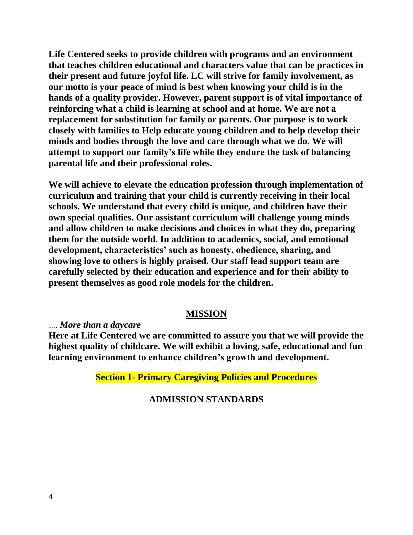**Life Centered seeks to provide children with programs and an environment that teaches children educational and characters value that can be practices in their present and future joyful life. LC will strive for family involvement, as our motto is your peace of mind is best when knowing your child is in the hands of a quality provider. However, parent support is of vital importance of reinforcing what a child is learning at school and at home. We are not a replacement for substitution for family or parents. Our purpose is to work closely with families to Help educate young children and to help develop their minds and bodies through the love and care through what we do. We will attempt to support our family's life while they endure the task of balancing parental life and their professional roles.** 

**We will achieve to elevate the education profession through implementation of curriculum and training that your child is currently receiving in their local schools. We understand that every child is unique, and children have their own special qualities. Our assistant curriculum will challenge young minds and allow children to make decisions and choices in what they do, preparing them for the outside world. In addition to academics, social, and emotional development, characteristics' such as honesty, obedience, sharing, and showing love to others is highly praised. Our staff lead support team are carefully selected by their education and experience and for their ability to present themselves as good role models for the children.**

#### **MISSION**

*…. More than a daycare*

**Here at Life Centered we are committed to assure you that we will provide the highest quality of childcare. We will exhibit a loving, safe, educational and fun learning environment to enhance children's growth and development.** 

**Section 1- Primary Caregiving Policies and Procedures**

# **ADMISSION STANDARDS**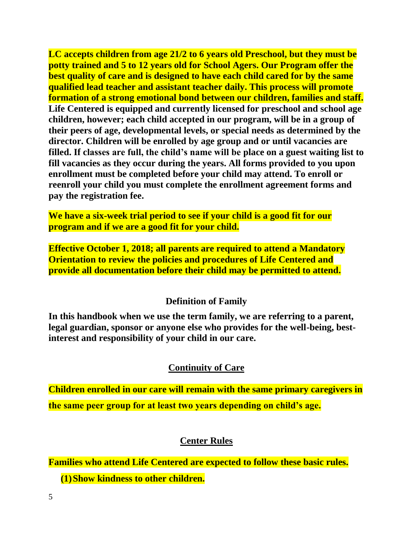**LC accepts children from age 21/2 to 6 years old Preschool, but they must be potty trained and 5 to 12 years old for School Agers. Our Program offer the best quality of care and is designed to have each child cared for by the same qualified lead teacher and assistant teacher daily. This process will promote formation of a strong emotional bond between our children, families and staff. Life Centered is equipped and currently licensed for preschool and school age children, however; each child accepted in our program, will be in a group of their peers of age, developmental levels, or special needs as determined by the director. Children will be enrolled by age group and or until vacancies are filled. If classes are full, the child's name will be place on a guest waiting list to fill vacancies as they occur during the years. All forms provided to you upon enrollment must be completed before your child may attend. To enroll or reenroll your child you must complete the enrollment agreement forms and pay the registration fee.**

**We have a six-week trial period to see if your child is a good fit for our program and if we are a good fit for your child.**

**Effective October 1, 2018; all parents are required to attend a Mandatory Orientation to review the policies and procedures of Life Centered and provide all documentation before their child may be permitted to attend.**

# **Definition of Family**

**In this handbook when we use the term family, we are referring to a parent, legal guardian, sponsor or anyone else who provides for the well-being, bestinterest and responsibility of your child in our care.** 

# **Continuity of Care**

**Children enrolled in our care will remain with the same primary caregivers in the same peer group for at least two years depending on child's age.** 

# **Center Rules**

**Families who attend Life Centered are expected to follow these basic rules.** 

**(1)Show kindness to other children.**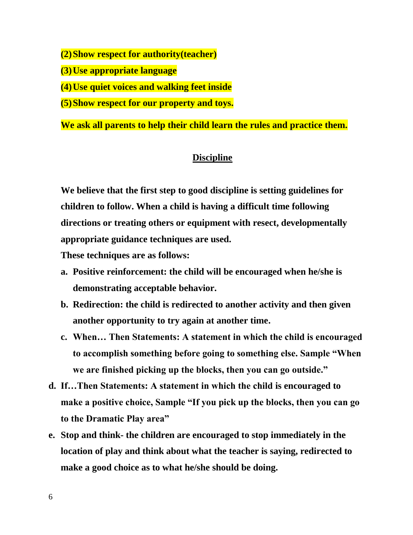**(2)Show respect for authority(teacher)**

**(3)Use appropriate language** 

**(4)Use quiet voices and walking feet inside** 

**(5)Show respect for our property and toys.**

**We ask all parents to help their child learn the rules and practice them.**

# **Discipline**

**We believe that the first step to good discipline is setting guidelines for children to follow. When a child is having a difficult time following directions or treating others or equipment with resect, developmentally appropriate guidance techniques are used.** 

**These techniques are as follows:** 

- **a. Positive reinforcement: the child will be encouraged when he/she is demonstrating acceptable behavior.**
- **b. Redirection: the child is redirected to another activity and then given another opportunity to try again at another time.**
- **c. When… Then Statements: A statement in which the child is encouraged to accomplish something before going to something else. Sample "When we are finished picking up the blocks, then you can go outside."**
- **d. If…Then Statements: A statement in which the child is encouraged to make a positive choice, Sample "If you pick up the blocks, then you can go to the Dramatic Play area"**
- **e. Stop and think- the children are encouraged to stop immediately in the location of play and think about what the teacher is saying, redirected to make a good choice as to what he/she should be doing.**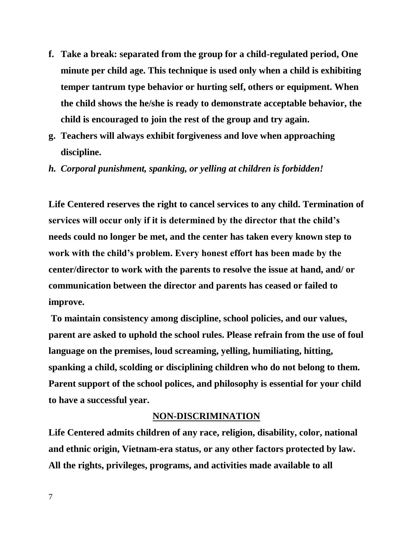- **f. Take a break: separated from the group for a child-regulated period, One minute per child age. This technique is used only when a child is exhibiting temper tantrum type behavior or hurting self, others or equipment. When the child shows the he/she is ready to demonstrate acceptable behavior, the child is encouraged to join the rest of the group and try again.**
- **g. Teachers will always exhibit forgiveness and love when approaching discipline.**
- *h. Corporal punishment, spanking, or yelling at children is forbidden!*

**Life Centered reserves the right to cancel services to any child. Termination of services will occur only if it is determined by the director that the child's needs could no longer be met, and the center has taken every known step to work with the child's problem. Every honest effort has been made by the center/director to work with the parents to resolve the issue at hand, and/ or communication between the director and parents has ceased or failed to improve.**

**To maintain consistency among discipline, school policies, and our values, parent are asked to uphold the school rules. Please refrain from the use of foul language on the premises, loud screaming, yelling, humiliating, hitting, spanking a child, scolding or disciplining children who do not belong to them. Parent support of the school polices, and philosophy is essential for your child to have a successful year.**

# **NON-DISCRIMINATION**

**Life Centered admits children of any race, religion, disability, color, national and ethnic origin, Vietnam-era status, or any other factors protected by law. All the rights, privileges, programs, and activities made available to all**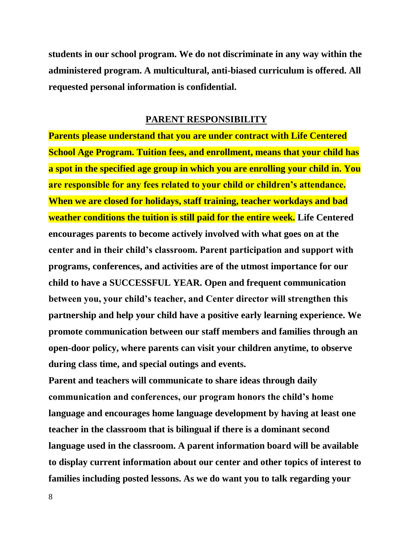**students in our school program. We do not discriminate in any way within the administered program. A multicultural, anti-biased curriculum is offered. All requested personal information is confidential.**

#### **PARENT RESPONSIBILITY**

**Parents please understand that you are under contract with Life Centered School Age Program. Tuition fees, and enrollment, means that your child has a spot in the specified age group in which you are enrolling your child in. You are responsible for any fees related to your child or children's attendance. When we are closed for holidays, staff training, teacher workdays and bad weather conditions the tuition is still paid for the entire week. Life Centered encourages parents to become actively involved with what goes on at the center and in their child's classroom. Parent participation and support with programs, conferences, and activities are of the utmost importance for our child to have a SUCCESSFUL YEAR. Open and frequent communication between you, your child's teacher, and Center director will strengthen this partnership and help your child have a positive early learning experience. We promote communication between our staff members and families through an open-door policy, where parents can visit your children anytime, to observe during class time, and special outings and events.**

**Parent and teachers will communicate to share ideas through daily communication and conferences, our program honors the child's home language and encourages home language development by having at least one teacher in the classroom that is bilingual if there is a dominant second language used in the classroom. A parent information board will be available to display current information about our center and other topics of interest to families including posted lessons. As we do want you to talk regarding your**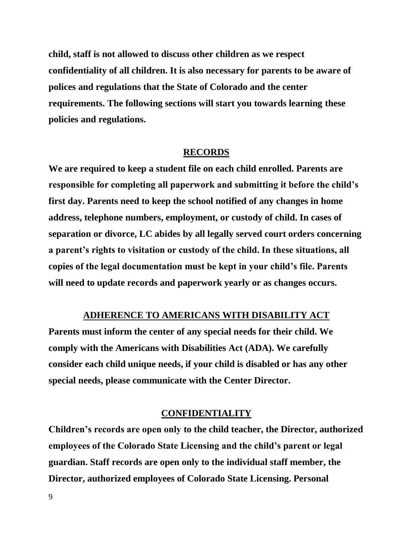**child, staff is not allowed to discuss other children as we respect confidentiality of all children. It is also necessary for parents to be aware of polices and regulations that the State of Colorado and the center requirements. The following sections will start you towards learning these policies and regulations.**

#### **RECORDS**

**We are required to keep a student file on each child enrolled. Parents are responsible for completing all paperwork and submitting it before the child's first day. Parents need to keep the school notified of any changes in home address, telephone numbers, employment, or custody of child. In cases of separation or divorce, LC abides by all legally served court orders concerning a parent's rights to visitation or custody of the child. In these situations, all copies of the legal documentation must be kept in your child's file. Parents will need to update records and paperwork yearly or as changes occurs.** 

#### **ADHERENCE TO AMERICANS WITH DISABILITY ACT**

**Parents must inform the center of any special needs for their child. We comply with the Americans with Disabilities Act (ADA). We carefully consider each child unique needs, if your child is disabled or has any other special needs, please communicate with the Center Director.** 

#### **CONFIDENTIALITY**

**Children's records are open only to the child teacher, the Director, authorized employees of the Colorado State Licensing and the child's parent or legal guardian. Staff records are open only to the individual staff member, the Director, authorized employees of Colorado State Licensing. Personal**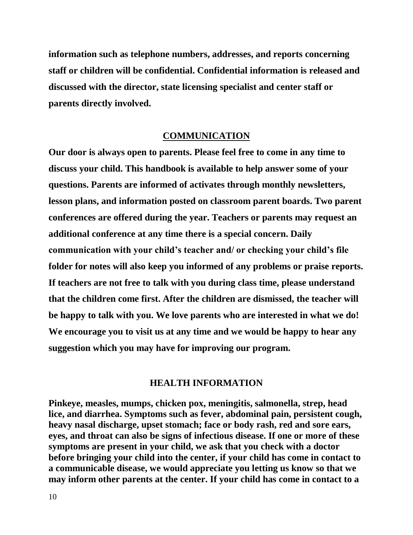**information such as telephone numbers, addresses, and reports concerning staff or children will be confidential. Confidential information is released and discussed with the director, state licensing specialist and center staff or parents directly involved.**

#### **COMMUNICATION**

**Our door is always open to parents. Please feel free to come in any time to discuss your child. This handbook is available to help answer some of your questions. Parents are informed of activates through monthly newsletters, lesson plans, and information posted on classroom parent boards. Two parent conferences are offered during the year. Teachers or parents may request an additional conference at any time there is a special concern. Daily communication with your child's teacher and/ or checking your child's file folder for notes will also keep you informed of any problems or praise reports. If teachers are not free to talk with you during class time, please understand that the children come first. After the children are dismissed, the teacher will be happy to talk with you. We love parents who are interested in what we do! We encourage you to visit us at any time and we would be happy to hear any suggestion which you may have for improving our program.**

#### **HEALTH INFORMATION**

**Pinkeye, measles, mumps, chicken pox, meningitis, salmonella, strep, head lice, and diarrhea. Symptoms such as fever, abdominal pain, persistent cough, heavy nasal discharge, upset stomach; face or body rash, red and sore ears, eyes, and throat can also be signs of infectious disease. If one or more of these symptoms are present in your child, we ask that you check with a doctor before bringing your child into the center, if your child has come in contact to a communicable disease, we would appreciate you letting us know so that we may inform other parents at the center. If your child has come in contact to a**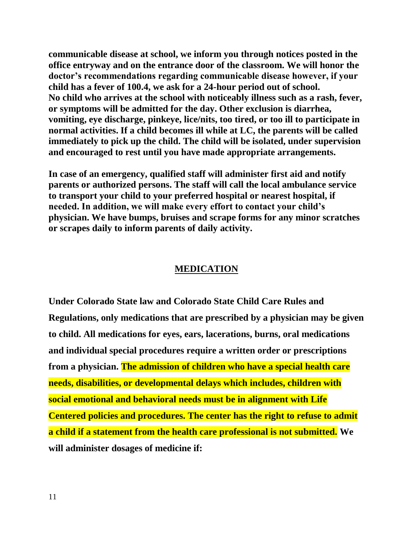**communicable disease at school, we inform you through notices posted in the office entryway and on the entrance door of the classroom. We will honor the doctor's recommendations regarding communicable disease however, if your child has a fever of 100.4, we ask for a 24-hour period out of school. No child who arrives at the school with noticeably illness such as a rash, fever, or symptoms will be admitted for the day. Other exclusion is diarrhea, vomiting, eye discharge, pinkeye, lice/nits, too tired, or too ill to participate in normal activities. If a child becomes ill while at LC, the parents will be called immediately to pick up the child. The child will be isolated, under supervision and encouraged to rest until you have made appropriate arrangements.**

**In case of an emergency, qualified staff will administer first aid and notify parents or authorized persons. The staff will call the local ambulance service to transport your child to your preferred hospital or nearest hospital, if needed. In addition, we will make every effort to contact your child's physician. We have bumps, bruises and scrape forms for any minor scratches or scrapes daily to inform parents of daily activity.**

## **MEDICATION**

**Under Colorado State law and Colorado State Child Care Rules and Regulations, only medications that are prescribed by a physician may be given to child. All medications for eyes, ears, lacerations, burns, oral medications and individual special procedures require a written order or prescriptions from a physician. The admission of children who have a special health care needs, disabilities, or developmental delays which includes, children with social emotional and behavioral needs must be in alignment with Life Centered policies and procedures. The center has the right to refuse to admit a child if a statement from the health care professional is not submitted. We will administer dosages of medicine if:**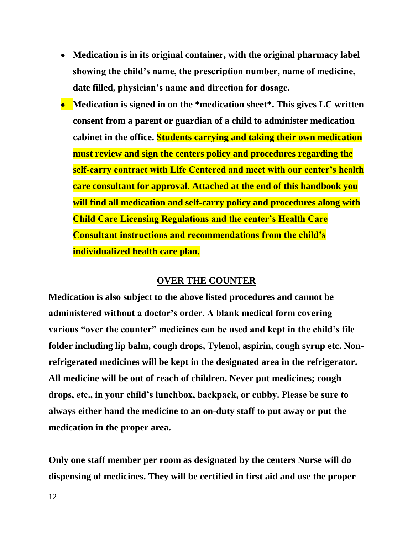- **Medication is in its original container, with the original pharmacy label showing the child's name, the prescription number, name of medicine, date filled, physician's name and direction for dosage.**
- **Medication is signed in on the \*medication sheet\*. This gives LC written consent from a parent or guardian of a child to administer medication cabinet in the office. Students carrying and taking their own medication must review and sign the centers policy and procedures regarding the self-carry contract with Life Centered and meet with our center's health care consultant for approval. Attached at the end of this handbook you will find all medication and self-carry policy and procedures along with Child Care Licensing Regulations and the center's Health Care Consultant instructions and recommendations from the child's individualized health care plan.**

#### **OVER THE COUNTER**

**Medication is also subject to the above listed procedures and cannot be administered without a doctor's order. A blank medical form covering various "over the counter" medicines can be used and kept in the child's file folder including lip balm, cough drops, Tylenol, aspirin, cough syrup etc. Nonrefrigerated medicines will be kept in the designated area in the refrigerator. All medicine will be out of reach of children. Never put medicines; cough drops, etc., in your child's lunchbox, backpack, or cubby. Please be sure to always either hand the medicine to an on-duty staff to put away or put the medication in the proper area.**

**Only one staff member per room as designated by the centers Nurse will do dispensing of medicines. They will be certified in first aid and use the proper**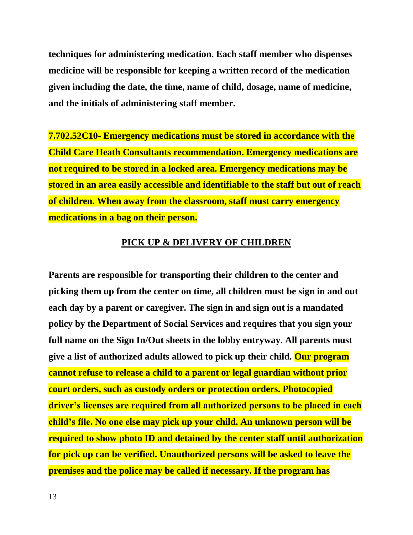**techniques for administering medication. Each staff member who dispenses medicine will be responsible for keeping a written record of the medication given including the date, the time, name of child, dosage, name of medicine, and the initials of administering staff member.**

**7.702.52C10- Emergency medications must be stored in accordance with the Child Care Heath Consultants recommendation. Emergency medications are not required to be stored in a locked area. Emergency medications may be stored in an area easily accessible and identifiable to the staff but out of reach of children. When away from the classroom, staff must carry emergency medications in a bag on their person.**

#### **PICK UP & DELIVERY OF CHILDREN**

**Parents are responsible for transporting their children to the center and picking them up from the center on time, all children must be sign in and out each day by a parent or caregiver. The sign in and sign out is a mandated policy by the Department of Social Services and requires that you sign your full name on the Sign In/Out sheets in the lobby entryway. All parents must give a list of authorized adults allowed to pick up their child. Our program cannot refuse to release a child to a parent or legal guardian without prior court orders, such as custody orders or protection orders. Photocopied driver's licenses are required from all authorized persons to be placed in each child's file. No one else may pick up your child. An unknown person will be required to show photo ID and detained by the center staff until authorization for pick up can be verified. Unauthorized persons will be asked to leave the premises and the police may be called if necessary. If the program has**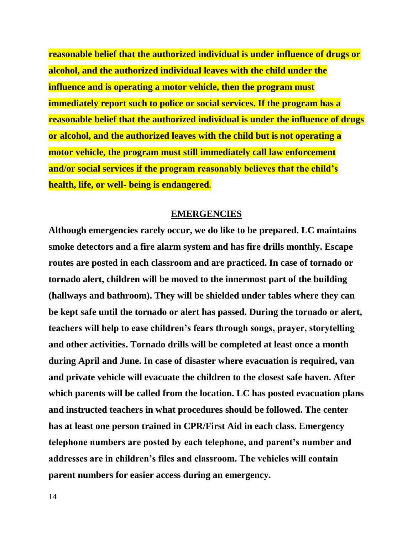**reasonable belief that the authorized individual is under influence of drugs or alcohol, and the authorized individual leaves with the child under the influence and is operating a motor vehicle, then the program must immediately report such to police or social services. If the program has a reasonable belief that the authorized individual is under the influence of drugs or alcohol, and the authorized leaves with the child but is not operating a motor vehicle, the program must still immediately call law enforcement and/or social services if the program reasonably believes that the child's health, life, or well- being is endangered.**

#### **EMERGENCIES**

**Although emergencies rarely occur, we do like to be prepared. LC maintains smoke detectors and a fire alarm system and has fire drills monthly. Escape routes are posted in each classroom and are practiced. In case of tornado or tornado alert, children will be moved to the innermost part of the building (hallways and bathroom). They will be shielded under tables where they can be kept safe until the tornado or alert has passed. During the tornado or alert, teachers will help to ease children's fears through songs, prayer, storytelling and other activities. Tornado drills will be completed at least once a month during April and June. In case of disaster where evacuation is required, van and private vehicle will evacuate the children to the closest safe haven. After which parents will be called from the location. LC has posted evacuation plans and instructed teachers in what procedures should be followed. The center has at least one person trained in CPR/First Aid in each class. Emergency telephone numbers are posted by each telephone, and parent's number and addresses are in children's files and classroom. The vehicles will contain parent numbers for easier access during an emergency.**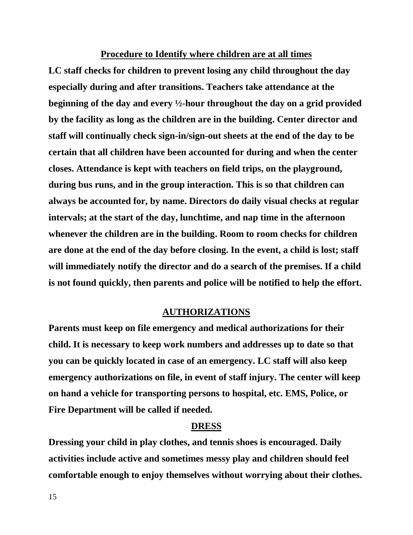#### **Procedure to Identify where children are at all times**

**LC staff checks for children to prevent losing any child throughout the day especially during and after transitions. Teachers take attendance at the beginning of the day and every ½-hour throughout the day on a grid provided by the facility as long as the children are in the building. Center director and staff will continually check sign-in/sign-out sheets at the end of the day to be certain that all children have been accounted for during and when the center closes. Attendance is kept with teachers on field trips, on the playground, during bus runs, and in the group interaction. This is so that children can always be accounted for, by name. Directors do daily visual checks at regular intervals; at the start of the day, lunchtime, and nap time in the afternoon whenever the children are in the building. Room to room checks for children are done at the end of the day before closing. In the event, a child is lost; staff will immediately notify the director and do a search of the premises. If a child is not found quickly, then parents and police will be notified to help the effort.**

#### **AUTHORIZATIONS**

**Parents must keep on file emergency and medical authorizations for their child. It is necessary to keep work numbers and addresses up to date so that you can be quickly located in case of an emergency. LC staff will also keep emergency authorizations on file, in event of staff injury. The center will keep on hand a vehicle for transporting persons to hospital, etc. EMS, Police, or Fire Department will be called if needed.** 

#### **DRESS**

**Dressing your child in play clothes, and tennis shoes is encouraged. Daily activities include active and sometimes messy play and children should feel comfortable enough to enjoy themselves without worrying about their clothes.**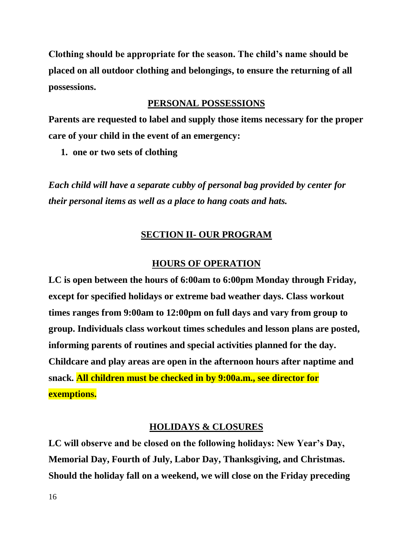**Clothing should be appropriate for the season. The child's name should be placed on all outdoor clothing and belongings, to ensure the returning of all possessions.**

#### **PERSONAL POSSESSIONS**

**Parents are requested to label and supply those items necessary for the proper care of your child in the event of an emergency:**

**1. one or two sets of clothing**

*Each child will have a separate cubby of personal bag provided by center for their personal items as well as a place to hang coats and hats.*

#### **SECTION II- OUR PROGRAM**

# **HOURS OF OPERATION**

**LC is open between the hours of 6:00am to 6:00pm Monday through Friday, except for specified holidays or extreme bad weather days. Class workout times ranges from 9:00am to 12:00pm on full days and vary from group to group. Individuals class workout times schedules and lesson plans are posted, informing parents of routines and special activities planned for the day. Childcare and play areas are open in the afternoon hours after naptime and snack. All children must be checked in by 9:00a.m., see director for exemptions.**

#### **HOLIDAYS & CLOSURES**

**LC will observe and be closed on the following holidays: New Year's Day, Memorial Day, Fourth of July, Labor Day, Thanksgiving, and Christmas. Should the holiday fall on a weekend, we will close on the Friday preceding**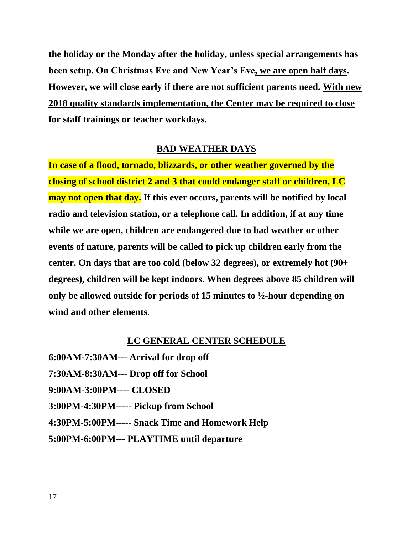**the holiday or the Monday after the holiday, unless special arrangements has been setup. On Christmas Eve and New Year's Eve, we are open half days. However, we will close early if there are not sufficient parents need. With new 2018 quality standards implementation, the Center may be required to close for staff trainings or teacher workdays.** 

#### **BAD WEATHER DAYS**

**In case of a flood, tornado, blizzards, or other weather governed by the closing of school district 2 and 3 that could endanger staff or children, LC may not open that day. If this ever occurs, parents will be notified by local radio and television station, or a telephone call. In addition, if at any time while we are open, children are endangered due to bad weather or other events of nature, parents will be called to pick up children early from the center. On days that are too cold (below 32 degrees), or extremely hot (90+ degrees), children will be kept indoors. When degrees above 85 children will only be allowed outside for periods of 15 minutes to ½-hour depending on wind and other elements**.

#### **LC GENERAL CENTER SCHEDULE**

**6:00AM-7:30AM--- Arrival for drop off 7:30AM-8:30AM--- Drop off for School 9:00AM-3:00PM---- CLOSED 3:00PM-4:30PM----- Pickup from School 4:30PM-5:00PM----- Snack Time and Homework Help 5:00PM-6:00PM--- PLAYTIME until departure**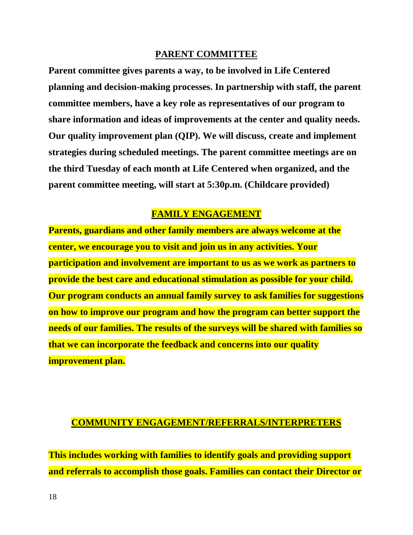#### **PARENT COMMITTEE**

**Parent committee gives parents a way, to be involved in Life Centered planning and decision-making processes. In partnership with staff, the parent committee members, have a key role as representatives of our program to share information and ideas of improvements at the center and quality needs. Our quality improvement plan (QIP). We will discuss, create and implement strategies during scheduled meetings. The parent committee meetings are on the third Tuesday of each month at Life Centered when organized, and the parent committee meeting, will start at 5:30p.m. (Childcare provided)**

#### **FAMILY ENGAGEMENT**

**Parents, guardians and other family members are always welcome at the center, we encourage you to visit and join us in any activities. Your participation and involvement are important to us as we work as partners to provide the best care and educational stimulation as possible for your child. Our program conducts an annual family survey to ask families for suggestions on how to improve our program and how the program can better support the needs of our families. The results of the surveys will be shared with families so that we can incorporate the feedback and concerns into our quality improvement plan.**

# **COMMUNITY ENGAGEMENT/REFERRALS/INTERPRETERS**

**This includes working with families to identify goals and providing support and referrals to accomplish those goals. Families can contact their Director or**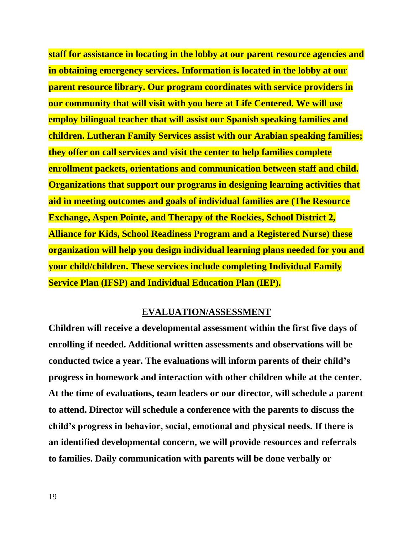**staff for assistance in locating in the lobby at our parent resource agencies and in obtaining emergency services. Information is located in the lobby at our parent resource library. Our program coordinates with service providers in our community that will visit with you here at Life Centered. We will use employ bilingual teacher that will assist our Spanish speaking families and children. Lutheran Family Services assist with our Arabian speaking families; they offer on call services and visit the center to help families complete enrollment packets, orientations and communication between staff and child. Organizations that support our programs in designing learning activities that aid in meeting outcomes and goals of individual families are (The Resource Exchange, Aspen Pointe, and Therapy of the Rockies, School District 2, Alliance for Kids, School Readiness Program and a Registered Nurse) these organization will help you design individual learning plans needed for you and your child/children. These services include completing Individual Family Service Plan (IFSP) and Individual Education Plan (IEP).**

#### **EVALUATION/ASSESSMENT**

**Children will receive a developmental assessment within the first five days of enrolling if needed. Additional written assessments and observations will be conducted twice a year. The evaluations will inform parents of their child's progress in homework and interaction with other children while at the center. At the time of evaluations, team leaders or our director, will schedule a parent to attend. Director will schedule a conference with the parents to discuss the child's progress in behavior, social, emotional and physical needs. If there is an identified developmental concern, we will provide resources and referrals to families. Daily communication with parents will be done verbally or**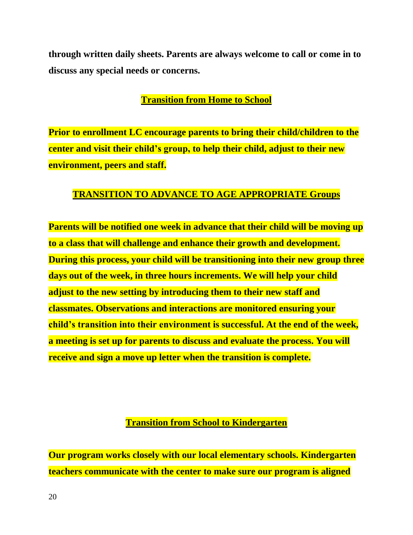**through written daily sheets. Parents are always welcome to call or come in to discuss any special needs or concerns.** 

# **Transition from Home to School**

**Prior to enrollment LC encourage parents to bring their child/children to the center and visit their child's group, to help their child, adjust to their new environment, peers and staff.**

# **TRANSITION TO ADVANCE TO AGE APPROPRIATE Groups**

**Parents will be notified one week in advance that their child will be moving up to a class that will challenge and enhance their growth and development. During this process, your child will be transitioning into their new group three days out of the week, in three hours increments. We will help your child adjust to the new setting by introducing them to their new staff and classmates. Observations and interactions are monitored ensuring your child's transition into their environment is successful. At the end of the week, a meeting is set up for parents to discuss and evaluate the process. You will receive and sign a move up letter when the transition is complete.**

# **Transition from School to Kindergarten**

**Our program works closely with our local elementary schools. Kindergarten teachers communicate with the center to make sure our program is aligned**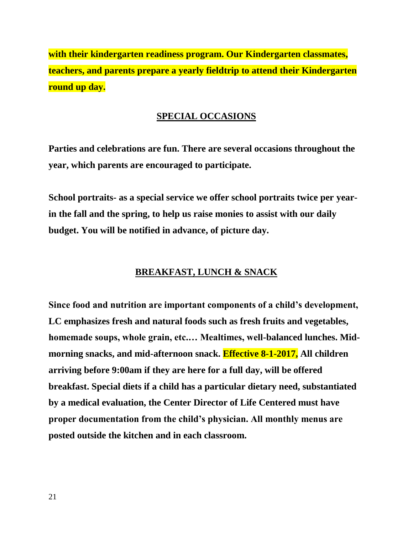**with their kindergarten readiness program. Our Kindergarten classmates, teachers, and parents prepare a yearly fieldtrip to attend their Kindergarten round up day.**

# **SPECIAL OCCASIONS**

**Parties and celebrations are fun. There are several occasions throughout the year, which parents are encouraged to participate.** 

**School portraits- as a special service we offer school portraits twice per yearin the fall and the spring, to help us raise monies to assist with our daily budget. You will be notified in advance, of picture day.**

# **BREAKFAST, LUNCH & SNACK**

**Since food and nutrition are important components of a child's development, LC emphasizes fresh and natural foods such as fresh fruits and vegetables, homemade soups, whole grain, etc.… Mealtimes, well-balanced lunches. Midmorning snacks, and mid-afternoon snack. Effective 8-1-2017, All children arriving before 9:00am if they are here for a full day, will be offered breakfast. Special diets if a child has a particular dietary need, substantiated by a medical evaluation, the Center Director of Life Centered must have proper documentation from the child's physician. All monthly menus are posted outside the kitchen and in each classroom.**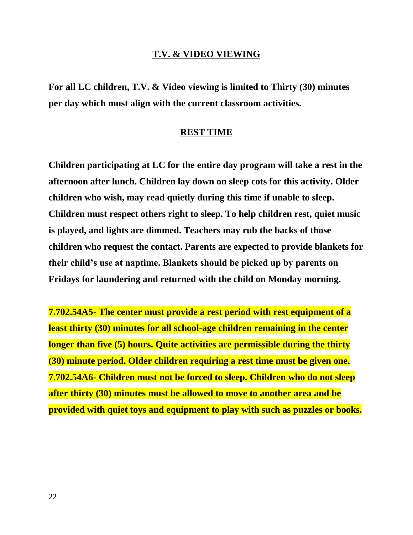#### **T.V. & VIDEO VIEWING**

**For all LC children, T.V. & Video viewing is limited to Thirty (30) minutes per day which must align with the current classroom activities.** 

#### **REST TIME**

**Children participating at LC for the entire day program will take a rest in the afternoon after lunch. Children lay down on sleep cots for this activity. Older children who wish, may read quietly during this time if unable to sleep. Children must respect others right to sleep. To help children rest, quiet music is played, and lights are dimmed. Teachers may rub the backs of those children who request the contact. Parents are expected to provide blankets for their child's use at naptime. Blankets should be picked up by parents on Fridays for laundering and returned with the child on Monday morning.**

**7.702.54A5- The center must provide a rest period with rest equipment of a least thirty (30) minutes for all school-age children remaining in the center longer than five (5) hours. Quite activities are permissible during the thirty (30) minute period. Older children requiring a rest time must be given one. 7.702.54A6- Children must not be forced to sleep. Children who do not sleep after thirty (30) minutes must be allowed to move to another area and be provided with quiet toys and equipment to play with such as puzzles or books.**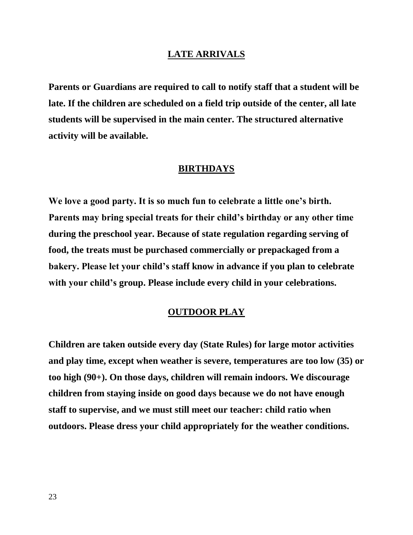#### **LATE ARRIVALS**

**Parents or Guardians are required to call to notify staff that a student will be late. If the children are scheduled on a field trip outside of the center, all late students will be supervised in the main center. The structured alternative activity will be available.** 

#### **BIRTHDAYS**

**We love a good party. It is so much fun to celebrate a little one's birth. Parents may bring special treats for their child's birthday or any other time during the preschool year. Because of state regulation regarding serving of food, the treats must be purchased commercially or prepackaged from a bakery. Please let your child's staff know in advance if you plan to celebrate with your child's group. Please include every child in your celebrations.** 

#### **OUTDOOR PLAY**

**Children are taken outside every day (State Rules) for large motor activities and play time, except when weather is severe, temperatures are too low (35) or too high (90+). On those days, children will remain indoors. We discourage children from staying inside on good days because we do not have enough staff to supervise, and we must still meet our teacher: child ratio when outdoors. Please dress your child appropriately for the weather conditions.**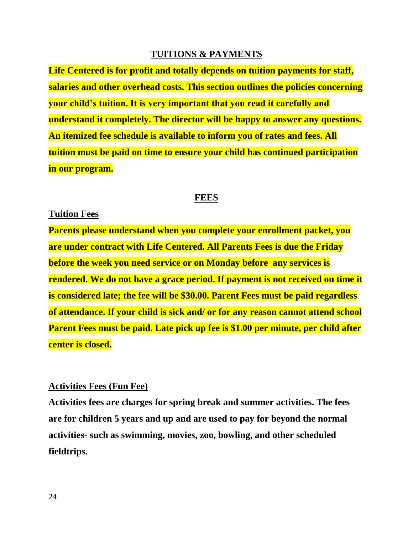# **TUITIONS & PAYMENTS**

**Life Centered is for profit and totally depends on tuition payments for staff, salaries and other overhead costs. This section outlines the policies concerning your child's tuition. It is very important that you read it carefully and understand it completely. The director will be happy to answer any questions. An itemized fee schedule is available to inform you of rates and fees. All tuition must be paid on time to ensure your child has continued participation in our program.**

#### **FEES**

#### **Tuition Fees**

**Parents please understand when you complete your enrollment packet, you are under contract with Life Centered. All Parents Fees is due the Friday before the week you need service or on Monday before any services is rendered. We do not have a grace period. If payment is not received on time it is considered late; the fee will be \$30.00. Parent Fees must be paid regardless of attendance. If your child is sick and/ or for any reason cannot attend school Parent Fees must be paid. Late pick up fee is \$1.00 per minute, per child after center is closed.** 

#### **Activities Fees (Fun Fee)**

**Activities fees are charges for spring break and summer activities. The fees are for children 5 years and up and are used to pay for beyond the normal activities- such as swimming, movies, zoo, bowling, and other scheduled fieldtrips.**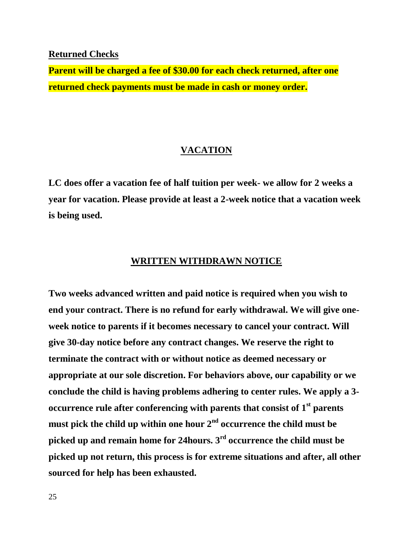#### **Returned Checks**

**Parent will be charged a fee of \$30.00 for each check returned, after one returned check payments must be made in cash or money order.**

#### **VACATION**

**LC does offer a vacation fee of half tuition per week- we allow for 2 weeks a year for vacation. Please provide at least a 2-week notice that a vacation week is being used.**

# **WRITTEN WITHDRAWN NOTICE**

**Two weeks advanced written and paid notice is required when you wish to end your contract. There is no refund for early withdrawal. We will give oneweek notice to parents if it becomes necessary to cancel your contract. Will give 30-day notice before any contract changes. We reserve the right to terminate the contract with or without notice as deemed necessary or appropriate at our sole discretion. For behaviors above, our capability or we conclude the child is having problems adhering to center rules. We apply a 3 occurrence rule after conferencing with parents that consist of 1st parents must pick the child up within one hour 2nd occurrence the child must be picked up and remain home for 24hours. 3rd occurrence the child must be picked up not return, this process is for extreme situations and after, all other sourced for help has been exhausted.**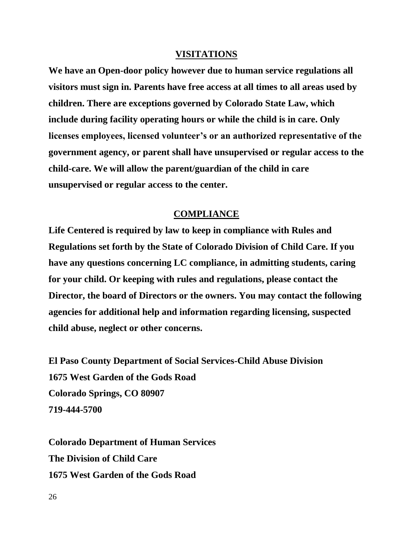#### **VISITATIONS**

**We have an Open-door policy however due to human service regulations all visitors must sign in. Parents have free access at all times to all areas used by children. There are exceptions governed by Colorado State Law, which include during facility operating hours or while the child is in care. Only licenses employees, licensed volunteer's or an authorized representative of the government agency, or parent shall have unsupervised or regular access to the child-care. We will allow the parent/guardian of the child in care unsupervised or regular access to the center.**

#### **COMPLIANCE**

**Life Centered is required by law to keep in compliance with Rules and Regulations set forth by the State of Colorado Division of Child Care. If you have any questions concerning LC compliance, in admitting students, caring for your child. Or keeping with rules and regulations, please contact the Director, the board of Directors or the owners. You may contact the following agencies for additional help and information regarding licensing, suspected child abuse, neglect or other concerns.**

**El Paso County Department of Social Services-Child Abuse Division 1675 West Garden of the Gods Road Colorado Springs, CO 80907 719-444-5700**

**Colorado Department of Human Services The Division of Child Care 1675 West Garden of the Gods Road**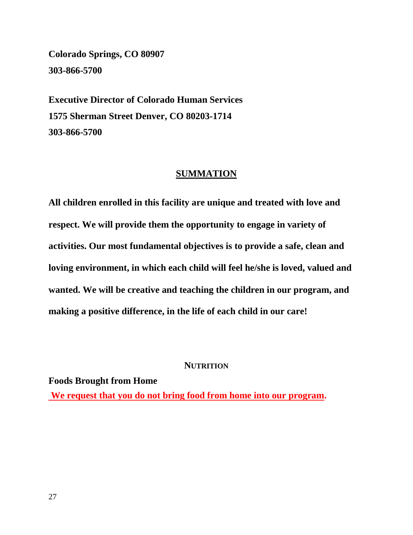**Colorado Springs, CO 80907 303-866-5700**

**Executive Director of Colorado Human Services 1575 Sherman Street Denver, CO 80203-1714 303-866-5700**

# **SUMMATION**

**All children enrolled in this facility are unique and treated with love and respect. We will provide them the opportunity to engage in variety of activities. Our most fundamental objectives is to provide a safe, clean and loving environment, in which each child will feel he/she is loved, valued and wanted. We will be creative and teaching the children in our program, and making a positive difference, in the life of each child in our care!**

#### **NUTRITION**

**Foods Brought from Home**

**We request that you do not bring food from home into our program.**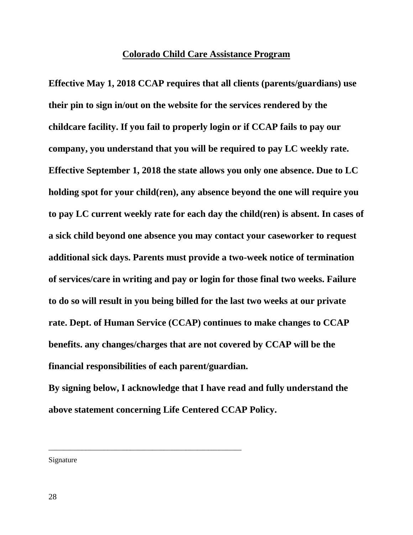#### **Colorado Child Care Assistance Program**

**Effective May 1, 2018 CCAP requires that all clients (parents/guardians) use their pin to sign in/out on the website for the services rendered by the childcare facility. If you fail to properly login or if CCAP fails to pay our company, you understand that you will be required to pay LC weekly rate. Effective September 1, 2018 the state allows you only one absence. Due to LC holding spot for your child(ren), any absence beyond the one will require you to pay LC current weekly rate for each day the child(ren) is absent. In cases of a sick child beyond one absence you may contact your caseworker to request additional sick days. Parents must provide a two-week notice of termination of services/care in writing and pay or login for those final two weeks. Failure to do so will result in you being billed for the last two weeks at our private rate. Dept. of Human Service (CCAP) continues to make changes to CCAP benefits. any changes/charges that are not covered by CCAP will be the financial responsibilities of each parent/guardian.**

**By signing below, I acknowledge that I have read and fully understand the above statement concerning Life Centered CCAP Policy.**

\_\_\_\_\_\_\_\_\_\_\_\_\_\_\_\_\_\_\_\_\_\_\_\_\_\_\_\_\_\_\_\_\_\_\_\_\_\_\_\_\_\_\_\_\_\_\_\_\_\_\_\_

Signature